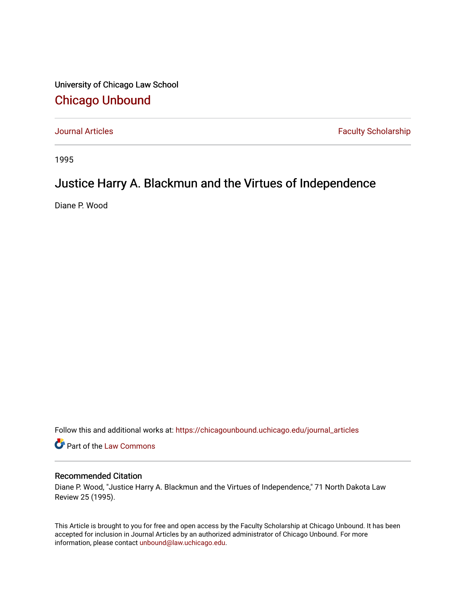University of Chicago Law School [Chicago Unbound](https://chicagounbound.uchicago.edu/)

[Journal Articles](https://chicagounbound.uchicago.edu/journal_articles) **Faculty Scholarship Faculty Scholarship** 

1995

## Justice Harry A. Blackmun and the Virtues of Independence

Diane P. Wood

Follow this and additional works at: [https://chicagounbound.uchicago.edu/journal\\_articles](https://chicagounbound.uchicago.edu/journal_articles?utm_source=chicagounbound.uchicago.edu%2Fjournal_articles%2F2044&utm_medium=PDF&utm_campaign=PDFCoverPages) 

Part of the [Law Commons](http://network.bepress.com/hgg/discipline/578?utm_source=chicagounbound.uchicago.edu%2Fjournal_articles%2F2044&utm_medium=PDF&utm_campaign=PDFCoverPages)

## Recommended Citation

Diane P. Wood, "Justice Harry A. Blackmun and the Virtues of Independence," 71 North Dakota Law Review 25 (1995).

This Article is brought to you for free and open access by the Faculty Scholarship at Chicago Unbound. It has been accepted for inclusion in Journal Articles by an authorized administrator of Chicago Unbound. For more information, please contact [unbound@law.uchicago.edu](mailto:unbound@law.uchicago.edu).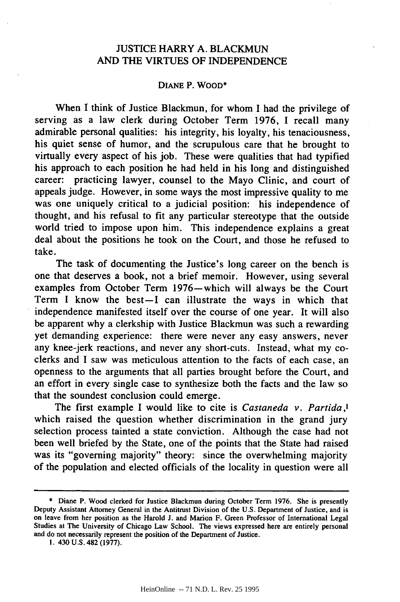## JUSTICE HARRY **A.** BLACKMUN AND THE VIRTUES OF INDEPENDENCE

## DIANE P. WOOD\*

When I think of Justice Blackmun, for whom I had the privilege of serving as a law clerk during October Term 1976, I recall many admirable personal qualities: his integrity, his loyalty, his tenaciousness, his quiet sense of humor, and the scrupulous care that he brought to virtually every aspect of his job. These were qualities that had typified his approach to each position he had held in his long and distinguished career: practicing lawyer, counsel to the Mayo Clinic, and court of appeals judge. However, in some ways the most impressive quality to me was one uniquely critical to a judicial position: his independence of thought, and his refusal to fit any particular stereotype that the outside world tried to impose upon him. This independence explains a great deal about the positions he took on the Court, and those he refused to take.

The task of documenting the Justice's long career on the bench is one that deserves a book, not a brief memoir. However, using several examples from October Term 1976-which will always be the Court Term I know the best-I can illustrate the ways in which that independence manifested itself over the course of one year. It will also be apparent why a clerkship with Justice Blackmun was such a rewarding yet demanding experience: there were never any easy answers, never any knee-jerk reactions, and never any short-cuts. Instead, what my coclerks and I saw was meticulous attention to the facts of each case, an openness to the arguments that all parties brought before the Court, and an effort in every single case to synthesize both the facts and the law so that the soundest conclusion could emerge.

The first example I would like to cite is *Castaneda v. Partida,l* which raised the question whether discrimination in the grand jury selection process tainted a state conviction. Although the case had not been well briefed by the State, one of the points that the State had raised was its "governing majority" theory: since the overwhelming majority of the population and elected officials of the locality in question were all

<sup>\*</sup> Diane P. Wood clerked for Justice Blackmun during October Term 1976. She is presently Deputy Assistant Attorney General in the Antitrust Division of the U.S. Department of Justice, and is on leave from her position as the Harold J. and Marion F. Green Professor of International Legal Studies at The University of Chicago Law School. The views expressed here are entirely personal and do not necessarily represent the position of the Department of Justice.

<sup>1. 430</sup> U.S. 482 (1977).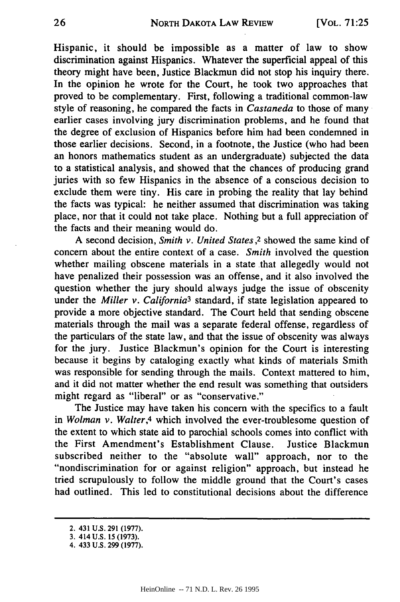Hispanic, it should be impossible as a matter of law to show discrimination against Hispanics. Whatever the superficial appeal of this theory might have been, Justice Blackmun did not stop his inquiry there. In the opinion he wrote for the Court, he took two approaches that proved to be complementary. First, following a traditional common-law style of reasoning, he compared the facts in *Castaneda* to those of many earlier cases involving jury discrimination problems, and he found that the degree of exclusion of Hispanics before him had been condemned in those earlier decisions. Second, in a footnote, the Justice (who had been an honors mathematics student as an undergraduate) subjected the data to a statistical analysis, and showed that the chances of producing grand juries with so few Hispanics in the absence of a conscious decision to exclude them were tiny. His care in probing the reality that lay behind the facts was typical: he neither assumed that discrimination was taking place, nor that it could not take place. Nothing but a full appreciation of the facts and their meaning would do.

**A** second decision, *Smith v. United States ,2* showed the same kind of concern about the entire context of a case. *Smith* involved the question whether mailing obscene materials in a state that allegedly would not have penalized their possession **was** an offense, and it also involved the question whether the jury should always judge the issue of obscenity under the *Miller v. California3* standard, if state legislation appeared to provide a more objective standard. The Court held that sending obscene materials through the mail was a separate federal offense, regardless of the particulars of the state law, and that the issue of obscenity was always for the jury. Justice Blackmun's opinion for the Court is interesting because it begins **by** cataloging exactly what kinds of materials Smith was responsible for sending through the mails. Context mattered to him, and it did not matter whether the end result was something that outsiders might regard as "liberal" or as "conservative."

The Justice may have taken his concern with the specifics to a fault in *Wolman v. Walter,4* which involved the ever-troublesome question of the extent to which state aid to parochial schools comes into conflict with the First Amendment's Establishment Clause. Justice Blackmun subscribed neither to the "absolute wall" approach, nor to the "nondiscrimination for or against religion" approach, but instead he tried scrupulously to follow the middle ground that the Court's cases had outlined. This led to constitutional decisions about the difference

<sup>2. 431</sup> **U.S. 291 (1977).**

<sup>3. 414</sup> **U.S. 15 (1973).**

<sup>4. 433</sup> **U.S. 299 (1977).**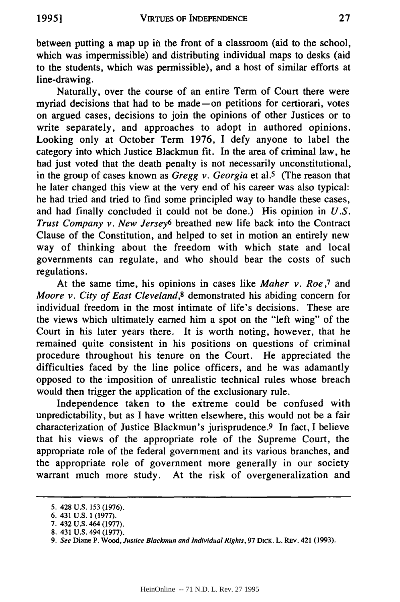between putting a map up in the front of a classroom (aid to the school, which was impermissible) and distributing individual maps to desks (aid to the students, which was permissible), and a host of similar efforts at line-drawing.

Naturally, over the course of an entire Term of Court there were myriad decisions that had to be made-on petitions for certiorari, votes on argued cases, decisions to join the opinions of other Justices or to write separately, and approaches to adopt in authored opinions. Looking only at October Term 1976, I defy anyone to label the category into which Justice Blackmun fit. In the area of criminal law, he had just voted that the death penalty is not necessarily unconstitutional, in the group of cases known as *Gregg v. Georgia* et al.5 (The reason that he later changed this view at the very end of his career was also typical: he had tried and tried to find some principled way to handle these cases, and had finally concluded it could not be done.) His opinion in *U.S. Trust Company v. New Jersey6* breathed new life back into the Contract Clause of the Constitution, and helped to set in motion an entirely new way of thinking about the freedom with which state and local governments can regulate, and who should bear the costs of such regulations.

At the same time, his opinions in cases like *Maher v. Roe,7* and *Moore v. City of East Cleveland,8* demonstrated his abiding concern for individual freedom in the most intimate of life's decisions. These are the views which ultimately earned him a spot on the "left wing" of the Court in his later years there. It is worth noting, however, that he remained quite consistent in his positions on questions of criminal procedure throughout his tenure on the Court. He appreciated the difficulties faced by the line police officers, and he was adamantly opposed to the imposition of unrealistic technical rules whose breach would then trigger the application of the exclusionary rule.

Independence taken to the extreme could be confused with unpredictability, but as I have written elsewhere, this would not be a fair characterization of Justice Blackmun's jurisprudence. 9 In fact, I believe that his views of the appropriate role of the Supreme Court, the appropriate role of the federal government and its various branches, and the appropriate role of government more generally in our society warrant much more study. At the risk of overgeneralization and

<sup>5. 428</sup> U.S. 153 (1976).

<sup>6. 431</sup> **U.S.** 1 (1977).

<sup>7. 432</sup> **U.S.** 464 (1977).

<sup>8. 431</sup> U.S. 494 (1977).

<sup>9.</sup> See Diane P. Wood, Justice Blackmun and Individual Rights, 97 DICK. L. REV. 421 (1993).